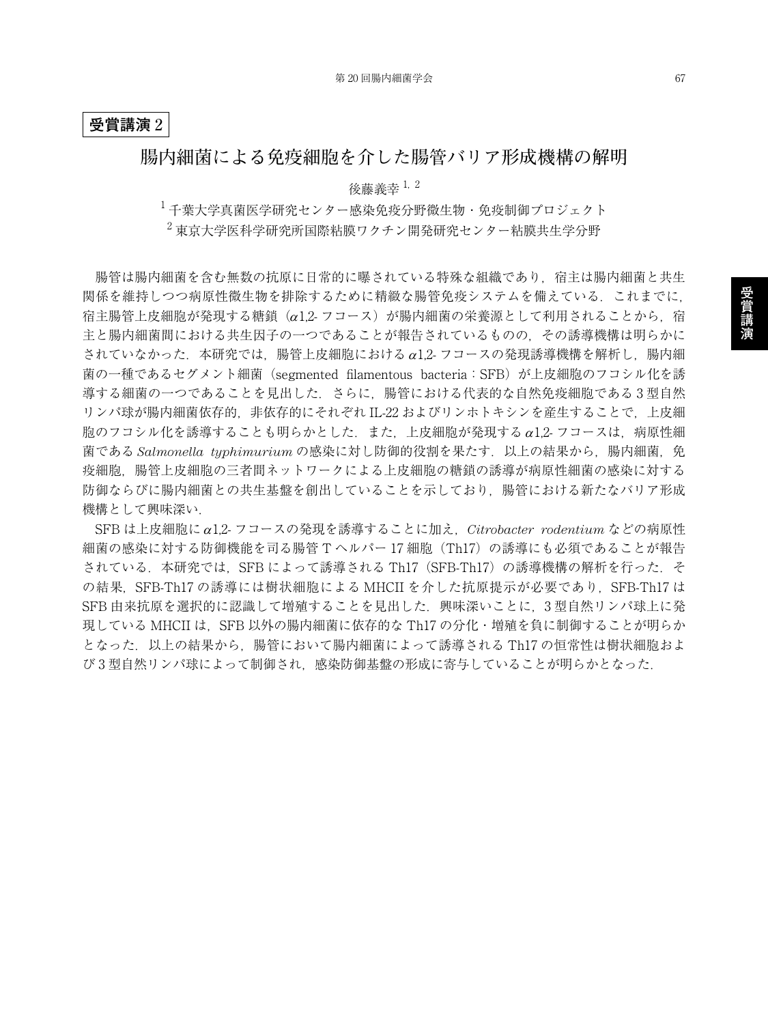## **受賞講演** 2

## **腸内細菌による免疫細胞を介した腸管バリア形成機構の解明**

後藤義幸 1, 2

<sup>1</sup> 千葉大学真菌医学研究センター感染免疫分野微生物・免疫制御プロジェクト

 $2\pi$ 東京大学医科学研究所国際粘膜ワクチン開発研究センター粘膜共生学分野

腸管は腸内細菌を含む無数の抗原に日常的に曝されている特殊な組織であり,宿主は腸内細菌と共生 関係を維持しつつ病原性微生物を排除するために精緻な腸管免疫システムを備えている.これまでに, 宿主腸管上皮細胞が発現する糖鎖(a1.2- フコース)が腸内細菌の栄養源として利用されることから、宿 主と腸内細菌間における共生因子の一つであることが報告されているものの,その誘導機構は明らかに されていなかった.本研究では,腸管上皮細胞におけるα1,2- フコースの発現誘導機構を解析し,腸内細 菌の一種であるセグメント細菌(segmented filamentous bacteria:SFB)が上皮細胞のフコシル化を誘 導する細菌の一つであることを見出した.さらに,腸管における代表的な自然免疫細胞である 3 型自然 リンパ球が腸内細菌依存的,非依存的にそれぞれ IL-22 およびリンホトキシンを産生することで,上皮細 胞のフコシル化を誘導することも明らかとした. また. 上皮細胞が発現するα1.2- フコースは、病原性細 菌である *Salmonella typhimurium* の感染に対し防御的役割を果たす.以上の結果から,腸内細菌,免 疫細胞,腸管上皮細胞の三者間ネットワークによる上皮細胞の糖鎖の誘導が病原性細菌の感染に対する 防御ならびに腸内細菌との共生基盤を創出していることを示しており,腸管における新たなバリア形成 機構として興味深い.

SFB は上皮細胞にα1,2- フコースの発現を誘導することに加え,*Citrobacter rodentium* などの病原性 細菌の感染に対する防御機能を司る腸管 T ヘルパー 17 細胞 (Th17) の誘導にも必須であることが報告 されている. 本研究では、SFB によって誘導される Th17 (SFB-Th17) の誘導機構の解析を行った. そ の結果. SFB-Th17 の誘導には樹状細胞による MHCII を介した抗原提示が必要であり. SFB-Th17 は SFB 由来抗原を選択的に認識して増殖することを見出した.興味深いことに,3 型自然リンパ球上に発 現している MHCII は,SFB 以外の腸内細菌に依存的な Th17 の分化・増殖を負に制御することが明らか となった.以上の結果から,腸管において腸内細菌によって誘導される Th17 の恒常性は樹状細胞およ び 3 型自然リンパ球によって制御され,感染防御基盤の形成に寄与していることが明らかとなった.